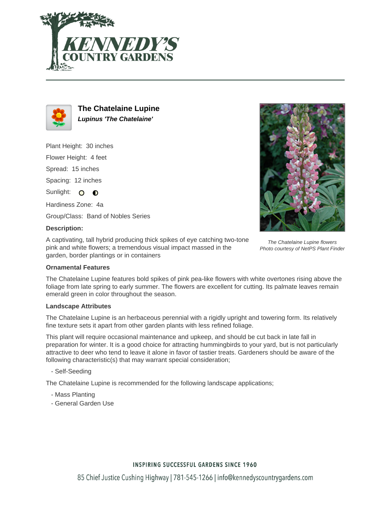



**The Chatelaine Lupine Lupinus 'The Chatelaine'**

Plant Height: 30 inches

Flower Height: 4 feet

Spread: 15 inches

Spacing: 12 inches

Sunlight: O **O** 

Hardiness Zone: 4a

Group/Class: Band of Nobles Series

## **Description:**

A captivating, tall hybrid producing thick spikes of eye catching two-tone pink and white flowers; a tremendous visual impact massed in the garden, border plantings or in containers

## **Ornamental Features**

The Chatelaine Lupine features bold spikes of pink pea-like flowers with white overtones rising above the foliage from late spring to early summer. The flowers are excellent for cutting. Its palmate leaves remain emerald green in color throughout the season.

#### **Landscape Attributes**

The Chatelaine Lupine is an herbaceous perennial with a rigidly upright and towering form. Its relatively fine texture sets it apart from other garden plants with less refined foliage.

This plant will require occasional maintenance and upkeep, and should be cut back in late fall in preparation for winter. It is a good choice for attracting hummingbirds to your yard, but is not particularly attractive to deer who tend to leave it alone in favor of tastier treats. Gardeners should be aware of the following characteristic(s) that may warrant special consideration;

- Self-Seeding

The Chatelaine Lupine is recommended for the following landscape applications;

- Mass Planting
- General Garden Use



The Chatelaine Lupine flowers Photo courtesy of NetPS Plant Finder

# **INSPIRING SUCCESSFUL GARDENS SINCE 1960**

85 Chief Justice Cushing Highway | 781-545-1266 | info@kennedyscountrygardens.com